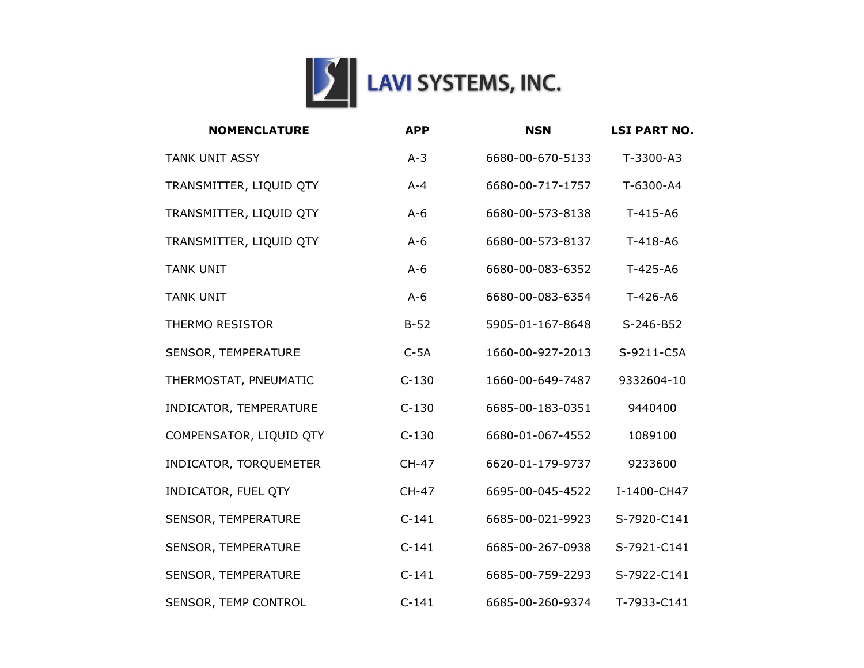

| <b>NOMENCLATURE</b>     | <b>APP</b>   | <b>NSN</b>       | <b>LSI PART NO.</b> |
|-------------------------|--------------|------------------|---------------------|
| <b>TANK UNIT ASSY</b>   | $A-3$        | 6680-00-670-5133 | T-3300-A3           |
| TRANSMITTER, LIQUID QTY | $A - 4$      | 6680-00-717-1757 | T-6300-A4           |
| TRANSMITTER, LIQUID QTY | $A-6$        | 6680-00-573-8138 | $T-415-AB$          |
| TRANSMITTER, LIQUID QTY | $A-6$        | 6680-00-573-8137 | $T-418-AG$          |
| <b>TANK UNIT</b>        | $A-6$        | 6680-00-083-6352 | $T-425-AB$          |
| <b>TANK UNIT</b>        | $A-6$        | 6680-00-083-6354 | T-426-A6            |
| <b>THERMO RESISTOR</b>  | $B-52$       | 5905-01-167-8648 | S-246-B52           |
| SENSOR, TEMPERATURE     | $C-5A$       | 1660-00-927-2013 | S-9211-C5A          |
| THERMOSTAT, PNEUMATIC   | $C-130$      | 1660-00-649-7487 | 9332604-10          |
| INDICATOR, TEMPERATURE  | $C-130$      | 6685-00-183-0351 | 9440400             |
| COMPENSATOR, LIQUID QTY | $C-130$      | 6680-01-067-4552 | 1089100             |
| INDICATOR, TORQUEMETER  | <b>CH-47</b> | 6620-01-179-9737 | 9233600             |
| INDICATOR, FUEL QTY     | <b>CH-47</b> | 6695-00-045-4522 | I-1400-CH47         |
| SENSOR, TEMPERATURE     | $C-141$      | 6685-00-021-9923 | S-7920-C141         |
| SENSOR, TEMPERATURE     | $C-141$      | 6685-00-267-0938 | S-7921-C141         |
| SENSOR, TEMPERATURE     | $C-141$      | 6685-00-759-2293 | S-7922-C141         |
| SENSOR, TEMP CONTROL    | $C-141$      | 6685-00-260-9374 | T-7933-C141         |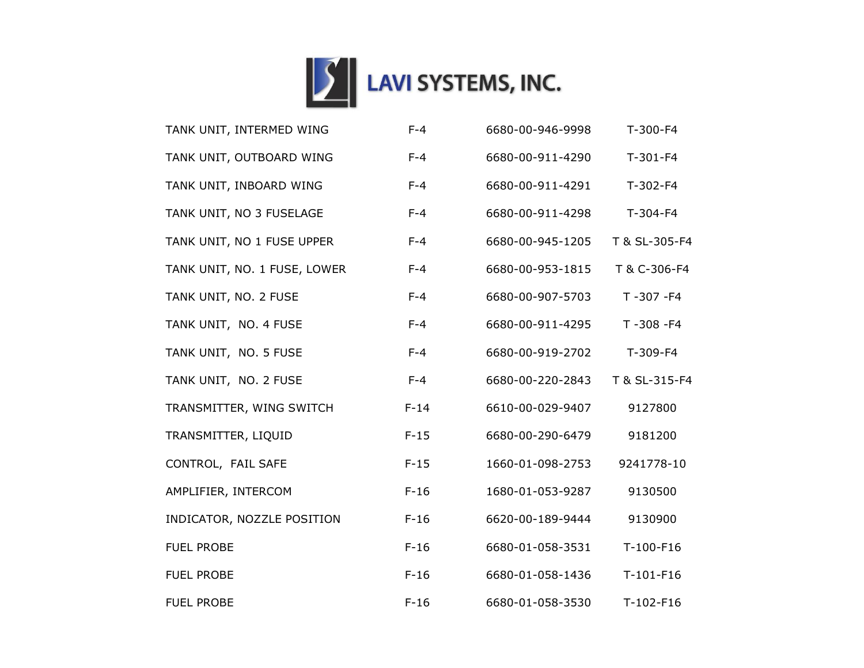

| TANK UNIT, INTERMED WING     | $F-4$  | 6680-00-946-9998 | T-300-F4       |
|------------------------------|--------|------------------|----------------|
| TANK UNIT, OUTBOARD WING     | $F-4$  | 6680-00-911-4290 | $T-301-F4$     |
| TANK UNIT, INBOARD WING      | $F-4$  | 6680-00-911-4291 | $T-302-F4$     |
| TANK UNIT, NO 3 FUSELAGE     | $F-4$  | 6680-00-911-4298 | T-304-F4       |
| TANK UNIT, NO 1 FUSE UPPER   | $F-4$  | 6680-00-945-1205 | T & SL-305-F4  |
| TANK UNIT, NO. 1 FUSE, LOWER | $F-4$  | 6680-00-953-1815 | T & C-306-F4   |
| TANK UNIT, NO. 2 FUSE        | $F-4$  | 6680-00-907-5703 | $T - 307 - F4$ |
| TANK UNIT, NO. 4 FUSE        | $F-4$  | 6680-00-911-4295 | T-308-F4       |
| TANK UNIT, NO. 5 FUSE        | $F-4$  | 6680-00-919-2702 | T-309-F4       |
| TANK UNIT, NO. 2 FUSE        | $F-4$  | 6680-00-220-2843 | T & SL-315-F4  |
| TRANSMITTER, WING SWITCH     | $F-14$ | 6610-00-029-9407 | 9127800        |
| TRANSMITTER, LIQUID          | $F-15$ | 6680-00-290-6479 | 9181200        |
| CONTROL, FAIL SAFE           | $F-15$ | 1660-01-098-2753 | 9241778-10     |
| AMPLIFIER, INTERCOM          | $F-16$ | 1680-01-053-9287 | 9130500        |
| INDICATOR, NOZZLE POSITION   | $F-16$ | 6620-00-189-9444 | 9130900        |
| <b>FUEL PROBE</b>            | $F-16$ | 6680-01-058-3531 | T-100-F16      |
| <b>FUEL PROBE</b>            | $F-16$ | 6680-01-058-1436 | $T-101-F16$    |
| <b>FUEL PROBE</b>            | $F-16$ | 6680-01-058-3530 | $T-102-F16$    |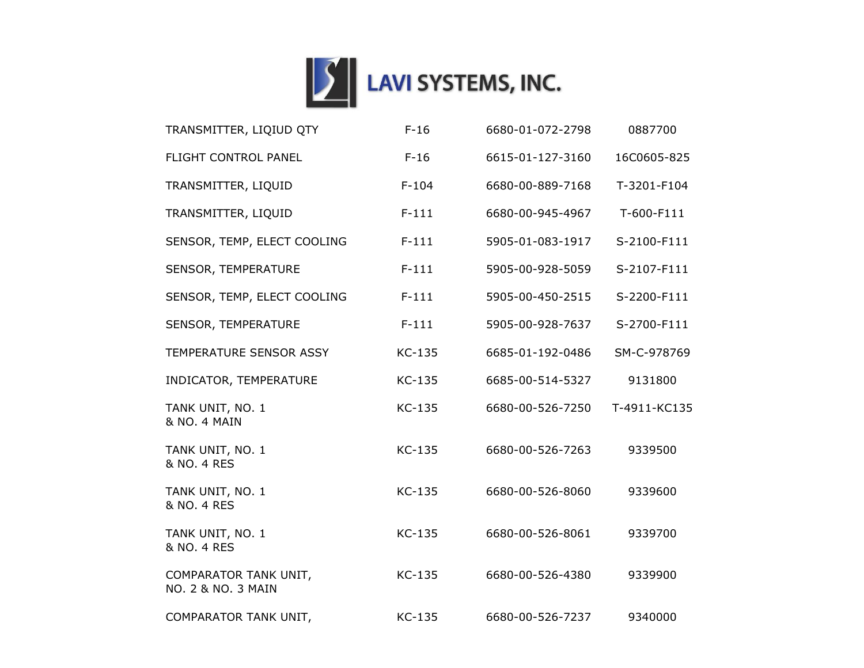

| TRANSMITTER, LIQIUD QTY                     | $F-16$  | 6680-01-072-2798 | 0887700      |
|---------------------------------------------|---------|------------------|--------------|
| FLIGHT CONTROL PANEL                        | $F-16$  | 6615-01-127-3160 | 16C0605-825  |
| TRANSMITTER, LIQUID                         | $F-104$ | 6680-00-889-7168 | T-3201-F104  |
| TRANSMITTER, LIQUID                         | $F-111$ | 6680-00-945-4967 | T-600-F111   |
| SENSOR, TEMP, ELECT COOLING                 | $F-111$ | 5905-01-083-1917 | S-2100-F111  |
| SENSOR, TEMPERATURE                         | $F-111$ | 5905-00-928-5059 | S-2107-F111  |
| SENSOR, TEMP, ELECT COOLING                 | $F-111$ | 5905-00-450-2515 | S-2200-F111  |
| SENSOR, TEMPERATURE                         | $F-111$ | 5905-00-928-7637 | S-2700-F111  |
| TEMPERATURE SENSOR ASSY                     | KC-135  | 6685-01-192-0486 | SM-C-978769  |
| INDICATOR, TEMPERATURE                      | KC-135  | 6685-00-514-5327 | 9131800      |
| TANK UNIT, NO. 1<br>& NO. 4 MAIN            | KC-135  | 6680-00-526-7250 | T-4911-KC135 |
| TANK UNIT, NO. 1<br>& NO. 4 RES             | KC-135  | 6680-00-526-7263 | 9339500      |
| TANK UNIT, NO. 1<br>& NO. 4 RES             | KC-135  | 6680-00-526-8060 | 9339600      |
| TANK UNIT, NO. 1<br>& NO. 4 RES             | KC-135  | 6680-00-526-8061 | 9339700      |
| COMPARATOR TANK UNIT,<br>NO. 2 & NO. 3 MAIN | KC-135  | 6680-00-526-4380 | 9339900      |
| COMPARATOR TANK UNIT,                       | KC-135  | 6680-00-526-7237 | 9340000      |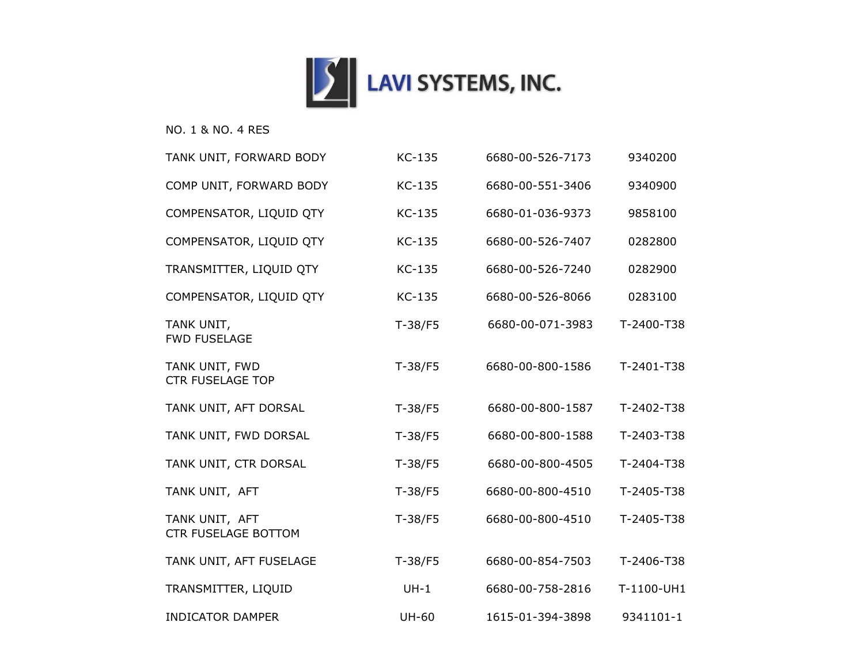

## NO. 1 & NO. 4 RES

| TANK UNIT, FORWARD BODY                      | KC-135       | 6680-00-526-7173 | 9340200    |
|----------------------------------------------|--------------|------------------|------------|
| COMP UNIT, FORWARD BODY                      | KC-135       | 6680-00-551-3406 | 9340900    |
| COMPENSATOR, LIQUID QTY                      | KC-135       | 6680-01-036-9373 | 9858100    |
| COMPENSATOR, LIQUID QTY                      | KC-135       | 6680-00-526-7407 | 0282800    |
| TRANSMITTER, LIQUID QTY                      | KC-135       | 6680-00-526-7240 | 0282900    |
| COMPENSATOR, LIQUID QTY                      | KC-135       | 6680-00-526-8066 | 0283100    |
| TANK UNIT,<br><b>FWD FUSELAGE</b>            | $T-38/F5$    | 6680-00-071-3983 | T-2400-T38 |
| TANK UNIT, FWD<br><b>CTR FUSELAGE TOP</b>    | $T-38/F5$    | 6680-00-800-1586 | T-2401-T38 |
| TANK UNIT, AFT DORSAL                        | $T-38/F5$    | 6680-00-800-1587 | T-2402-T38 |
| TANK UNIT, FWD DORSAL                        | $T-38/F5$    | 6680-00-800-1588 | T-2403-T38 |
| TANK UNIT, CTR DORSAL                        | $T-38/F5$    | 6680-00-800-4505 | T-2404-T38 |
| TANK UNIT, AFT                               | $T-38/F5$    | 6680-00-800-4510 | T-2405-T38 |
| TANK UNIT, AFT<br><b>CTR FUSELAGE BOTTOM</b> | $T-38/F5$    | 6680-00-800-4510 | T-2405-T38 |
| TANK UNIT, AFT FUSELAGE                      | $T-38/F5$    | 6680-00-854-7503 | T-2406-T38 |
| TRANSMITTER, LIQUID                          | $UH-1$       | 6680-00-758-2816 | T-1100-UH1 |
| <b>INDICATOR DAMPER</b>                      | <b>UH-60</b> | 1615-01-394-3898 | 9341101-1  |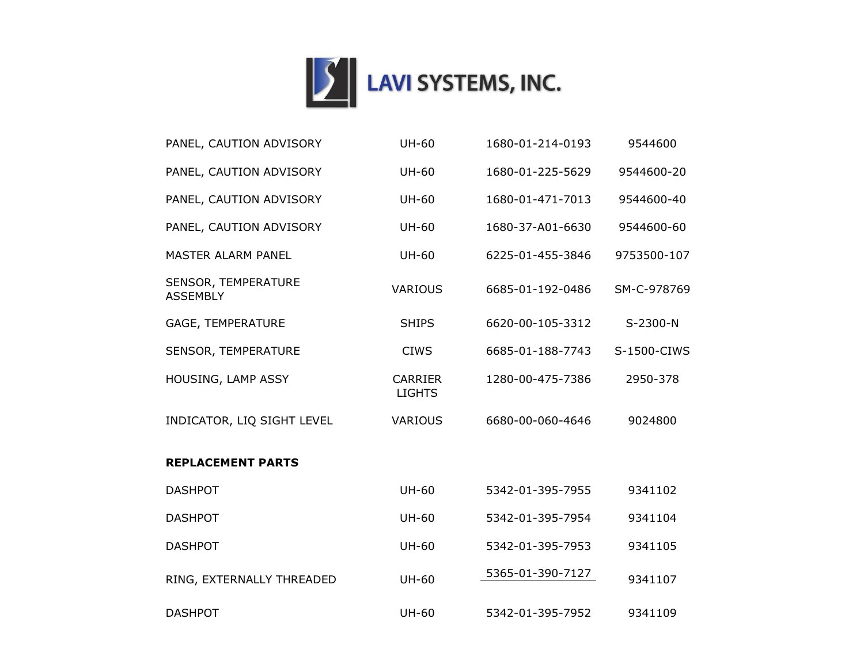

| PANEL, CAUTION ADVISORY                | <b>UH-60</b>                    | 1680-01-214-0193 | 9544600     |
|----------------------------------------|---------------------------------|------------------|-------------|
| PANEL, CAUTION ADVISORY                | <b>UH-60</b>                    | 1680-01-225-5629 | 9544600-20  |
| PANEL, CAUTION ADVISORY                | <b>UH-60</b>                    | 1680-01-471-7013 | 9544600-40  |
| PANEL, CAUTION ADVISORY                | <b>UH-60</b>                    | 1680-37-A01-6630 | 9544600-60  |
| <b>MASTER ALARM PANEL</b>              | <b>UH-60</b>                    | 6225-01-455-3846 | 9753500-107 |
| SENSOR, TEMPERATURE<br><b>ASSEMBLY</b> | <b>VARIOUS</b>                  | 6685-01-192-0486 | SM-C-978769 |
| GAGE, TEMPERATURE                      | <b>SHIPS</b>                    | 6620-00-105-3312 | S-2300-N    |
| SENSOR, TEMPERATURE                    | <b>CIWS</b>                     | 6685-01-188-7743 | S-1500-CIWS |
| HOUSING, LAMP ASSY                     | <b>CARRIER</b><br><b>LIGHTS</b> | 1280-00-475-7386 | 2950-378    |
| INDICATOR, LIQ SIGHT LEVEL             | <b>VARIOUS</b>                  | 6680-00-060-4646 | 9024800     |
| <b>REPLACEMENT PARTS</b>               |                                 |                  |             |
| <b>DASHPOT</b>                         | <b>UH-60</b>                    | 5342-01-395-7955 | 9341102     |
| <b>DASHPOT</b>                         | <b>UH-60</b>                    | 5342-01-395-7954 | 9341104     |
| <b>DASHPOT</b>                         | <b>UH-60</b>                    | 5342-01-395-7953 | 9341105     |
| RING, EXTERNALLY THREADED              | <b>UH-60</b>                    | 5365-01-390-7127 | 9341107     |
| <b>DASHPOT</b>                         | <b>UH-60</b>                    | 5342-01-395-7952 | 9341109     |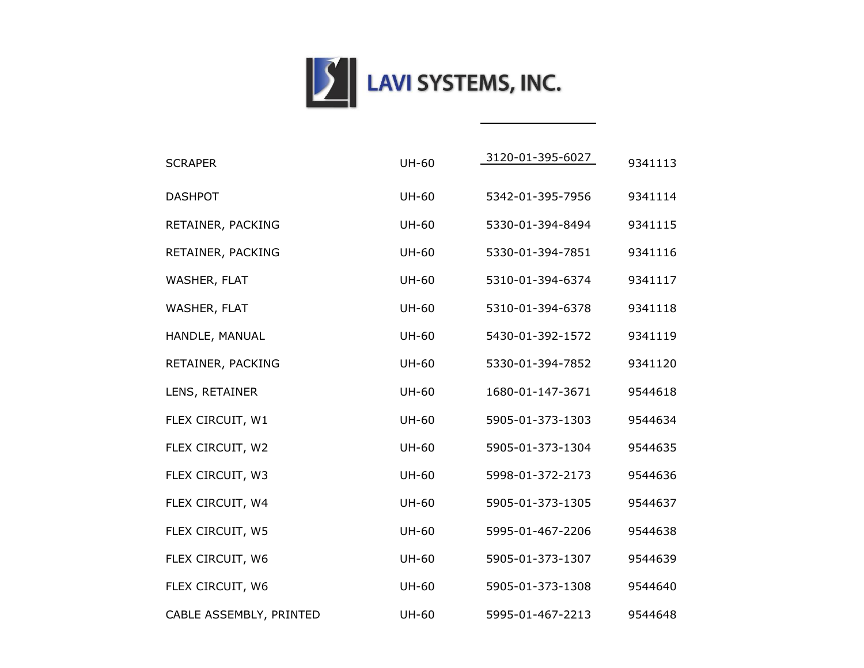

| <b>SCRAPER</b>          | <b>UH-60</b> | 3120-01-395-6027 | 9341113 |
|-------------------------|--------------|------------------|---------|
| <b>DASHPOT</b>          | <b>UH-60</b> | 5342-01-395-7956 | 9341114 |
| RETAINER, PACKING       | <b>UH-60</b> | 5330-01-394-8494 | 9341115 |
| RETAINER, PACKING       | <b>UH-60</b> | 5330-01-394-7851 | 9341116 |
| WASHER, FLAT            | <b>UH-60</b> | 5310-01-394-6374 | 9341117 |
| WASHER, FLAT            | <b>UH-60</b> | 5310-01-394-6378 | 9341118 |
| HANDLE, MANUAL          | <b>UH-60</b> | 5430-01-392-1572 | 9341119 |
| RETAINER, PACKING       | <b>UH-60</b> | 5330-01-394-7852 | 9341120 |
| LENS, RETAINER          | <b>UH-60</b> | 1680-01-147-3671 | 9544618 |
| FLEX CIRCUIT, W1        | <b>UH-60</b> | 5905-01-373-1303 | 9544634 |
| FLEX CIRCUIT, W2        | <b>UH-60</b> | 5905-01-373-1304 | 9544635 |
| FLEX CIRCUIT, W3        | <b>UH-60</b> | 5998-01-372-2173 | 9544636 |
| FLEX CIRCUIT, W4        | <b>UH-60</b> | 5905-01-373-1305 | 9544637 |
| FLEX CIRCUIT, W5        | <b>UH-60</b> | 5995-01-467-2206 | 9544638 |
| FLEX CIRCUIT, W6        | <b>UH-60</b> | 5905-01-373-1307 | 9544639 |
| FLEX CIRCUIT, W6        | <b>UH-60</b> | 5905-01-373-1308 | 9544640 |
| CABLE ASSEMBLY, PRINTED | <b>UH-60</b> | 5995-01-467-2213 | 9544648 |